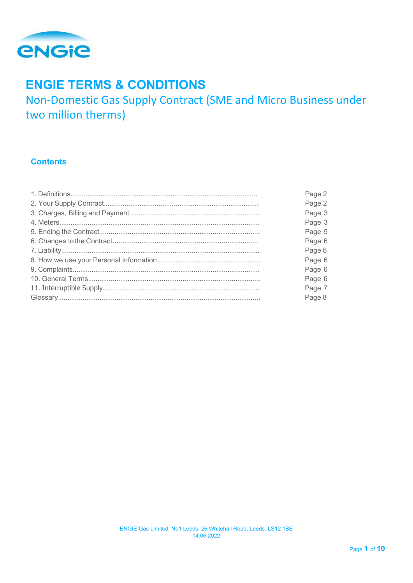

# **ENGIE TERMS & CONDITIONS**

Non-Domestic Gas Supply Contract (SME and Micro Business under two million therms)

# **Contents**

| Page 2 |
|--------|
| Page 2 |
| Page 3 |
| Page 3 |
| Page 5 |
| Page 6 |
| Page 6 |
| Page 6 |
| Page 6 |
| Page 6 |
| Page 7 |
| Page 8 |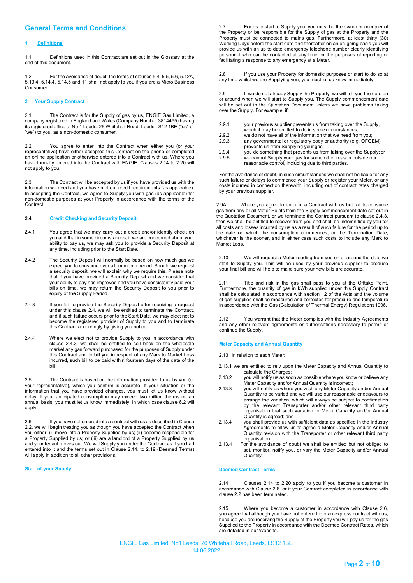# **General Terms and Conditions**

# **1 Definitions**

1.1 Definitions used in this Contract are set out in the Glossary at the end of this document.

1.2 For the avoidance of doubt, the terms of clauses 5.4, 5.5, 5.6, 5.12A, 5.13.4, 5.14.4, 5.14.5 and 11 shall not apply to you if you are a Micro Business Consumer.

# **2 Your Supply Contract**

2.1 The Contract is for the Supply of gas by us, ENGIE Gas Limited, a company registered in England and Wales (Company Number 3814495) having its registered office at No 1 Leeds, 26 Whitehall Road, Leeds LS12 1BE ("us" or "we") to you, as a non-domestic consumer.

2.2 You agree to enter into the Contract when either you (or your representative) have either accepted this Contract on the phone or completed an online application or otherwise entered into a Contract with us. Where you have formally entered into the Contract with ENGIE, Clauses 2.14 to 2.20 will not apply to you.

2.3 The Contract will be accepted by us if you have provided us with the information we need and you have met our credit requirements (as applicable). In accepting the Contract, we agree to Supply you with gas (as applicable) for non-domestic purposes at your Property in accordance with the terms of the Contract.

# **2.4 Credit Checking and Security Deposit;**

- 2.4.1 You agree that we may carry out a credit and/or identity check on you and that in some circumstances, if we are concerned about your ability to pay us, we may ask you to provide a Security Deposit at any time, including prior to the Start Date.
- 2.4.2 The Security Deposit will normally be based on how much gas we expect you to consume over a four month period. Should we request a security deposit, we will explain why we require this. Please note that if you have provided a Security Deposit and we consider that your ability to pay has improved and you have consistently paid your bills on time, we may return the Security Deposit to you prior to expiry of the Supply Period.
- 2.4.3 If you fail to provide the Security Deposit after receiving a request under this clause 2.4, we will be entitled to terminate the Contract, and if such failure occurs prior to the Start Date, we may elect not to become the registered provider of Supply to you and to terminate this Contract accordingly by giving you notice.
- 2.4.4 Where we elect not to provide Supply to you in accordance with clause 2.4.3, we shall be entitled to sell back on the wholesale market any gas forward purchased for the purposes of Supply under this Contract and to bill you in respect of any Mark to Market Loss incurred, such bill to be paid within fourteen days of the date of the bill.

2.5 The Contract is based on the information provided to us by you (or your representative), which you confirm is accurate. If your situation or the information that you have provided changes, you must let us know without delay. If your anticipated consumption may exceed two million therms on an annual basis, you must let us know immediately, in which case clause 6.2 will apply.

2.6 If you have not entered into a contract with us as described in Clause 2.2, we will begin treating you as though you have accepted the Contract when you either: (i) move into a Property Supplied by us; (ii) become responsible for a Property Supplied by us; or (iii) are a landlord of a Property Supplied by us and your tenant moves out. We will Supply you under the Contract as if you had entered into it and the terms set out in Clause 2.14. to 2.19 (Deemed Terms) will apply in addition to all other provisions.

#### **Start of your Supply**

2.7 For us to start to Supply you, you must be the owner or occupier of the Property or be responsible for the Supply of gas at the Property and the Property must be connected to mains gas. Furthermore, at least thirty (30) Working Days before the start date and thereafter on an on-going basis you will provide us with an up to date emergency telephone number clearly identifying personnel who can be contacted at any time for the purposes of reporting or facilitating a response to any emergency at a Meter.

2.8 If you use your Property for domestic purposes or start to do so at any time whilst we are Supplying you, you must let us know immediately.

2.9 If we do not already Supply the Property, we will tell you the date on or around when we will start to Supply you. The Supply commencement date will be set out in the Quotation Document unless we have problems taking over the Supply. For example, if:

- 2.9.1 your previous supplier prevents us from taking over the Supply,
- which it may be entitled to do in some circumstances;
- 2.9.2 we do not have all of the information that we need from you;<br>2.9.3 any governmental or regulatory body or authority (e.g. OFG) any governmental or regulatory body or authority (e.g. OFGEM)
- prevents us from Supplying your gas; 2.9.4 you do something that prevents us from taking over the Supply; or
- 2.9.5 we cannot Supply your gas for some other reason outside our reasonable control, including due to third parties.

For the avoidance of doubt, in such circumstances we shall not be liable for any such failure or delays to commence your Supply or register your Meter, or any costs incurred in connection therewith, including out of contract rates charged by your previous supplier.

2.9A Where you agree to enter in a Contract with us but fail to consume gas from any or all Meter Points from the Supply commencement date set out in the Quotation Document, or we terminate the Contract pursuant to clause 2.4.3, then we shall be entitled to recover from you and shall be indemnified by you for all costs and losses incurred by us as a result of such failure for the period up to the date on which the consumption commences, or the Termination Date, whichever is the sooner, and in either case such costs to include any Mark to Market Loss

2.10 We will request a Meter reading from you on or around the date we start to Supply you. This will be used by your previous supplier to produce your final bill and will help to make sure your new bills are accurate.

2.11 Title and risk in the gas shall pass to you at the Offtake Point. Furthermore, the quantity of gas in kWh supplied under this Supply Contract shall be calculated in accordance with section 12 of the Acts and the volume of gas supplied shall be measured and corrected for pressure and temperature in accordance with the Gas (Calculation of Thermal Energy) Regulations1996.

2.12 You warrant that the Meter complies with the Industry Agreements and any other relevant agreements or authorisations necessary to permit or continue the Supply.

# **Meter Capacity and Annual Quantity**

2.13 In relation to each Meter:

- 2.13.1 we are entitled to rely upon the Meter Capacity and Annual Quantity to calculate the Charges;
- 2.13.2 you will notify us as soon as possible where you know or believe any Meter Capacity and/or Annual Quantity is incorrect;
- 2.13.3 you will notify us where you wish any Meter Capacity and/or Annual Quantity to be varied and we will use our reasonable endeavours to arrange the variation, which will always be subject to confirmation by the relevant Transporter and/or other relevant third party organisation that such variation to Meter Capacity and/or Annual Quantity is agreed; and
- 2.13.4 you shall provide us with sufficient data as specified in the Industry Agreements to allow us to agree a Meter Capacity and/or Annual Quantity revision with the Transporter or other relevant third party organisation.
- 2.13.4 For the avoidance of doubt we shall be entitled but not obliged to set, monitor, notify you, or vary the Meter Capacity and/or Annual Quantity.

#### **Deemed Contract Terms**

2.14 Clauses 2.14 to 2.20 apply to you if you become a customer in accordance with Clause 2.6, or if your Contract completed in accordance with clause 2.2 has been terminated.

2.15 Where you become a customer in accordance with Clause 2.6, you agree that although you have not entered into an express contract with us, because you are receiving the Supply at the Property you will pay us for the gas Supplied to the Property in accordance with the Deemed Contract Rates, which are detailed in our Website.

ENGIE Gas Limited, No1 Leeds, 26 Whitehall Road, Leeds, LS12 1BE 14.06.2022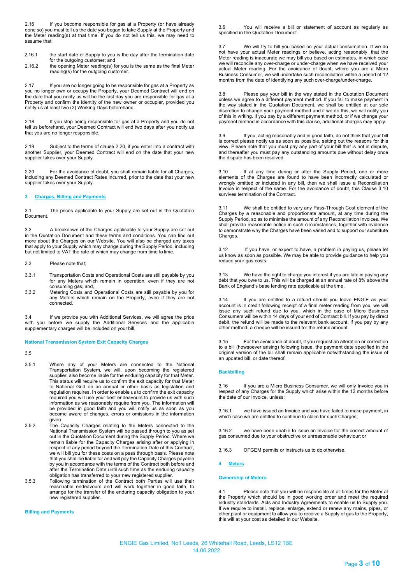2.16 If you become responsible for gas at a Property (or have already done so) you must tell us the date you began to take Supply at the Property and the Meter reading(s) at that time. If you do not tell us this, we may need to assume that:

- 2.16.1 the start date of Supply to you is the day after the termination date for the outgoing customer; and
- 2.16.2 the opening Meter reading(s) for you is the same as the final Meter reading(s) for the outgoing customer.

2.17 If you are no longer going to be responsible for gas at a Property as you no longer own or occupy the Property, your Deemed Contract will end on the date that you notify us will be the last day you are responsible for gas at a Property and confirm the identity of the new owner or occupier, provided you notify us at least two (2) Working Days beforehand.

2.18 If you stop being responsible for gas at a Property and you do not tell us beforehand, your Deemed Contract will end two days after you notify us that you are no longer responsible.

2.19 Subject to the terms of clause 2.20, if you enter into a contract with another Supplier, your Deemed Contract will end on the date that your new supplier takes over your Supply.

2.20 For the avoidance of doubt, you shall remain liable for all Charges, including any Deemed Contract Rates incurred, prior to the date that your new supplier takes over your Supply.

# **3 Charges, Billing and Payments**

3.1 The prices applicable to your Supply are set out in the Quotation Document.

3.2 A breakdown of the Charges applicable to your Supply are set out in the Quotation Document and these terms and conditions. You can find out more about the Charges on our Website. You will also be charged any taxes that apply to your Supply which may change during the Supply Period, including but not limited to VAT the rate of which may change from time to time.

#### 3.3 Please note that;

- 3.3.1 Transportation Costs and Operational Costs are still payable by you for any Meters which remain in operation, even if they are not consuming gas; and,
- 3.3.2 Metering Costs and Operational Costs are still payable by you for any Meters which remain on the Property, even if they are not connected.

3.4 If we provide you with Additional Services, we will agree the price with you before we supply the Additional Services and the applicable supplementary charges will be included on your bill.

#### **National Transmission System Exit Capacity Charges**

3.5

- 3.5.1 Where any of your Meters are connected to the National Transportation System, we will, upon becoming the registered supplier, also become liable for the enduring capacity for that Meter. This status will require us to confirm the exit capacity for that Meter to National Grid on an annual or other basis as legislation and regulation requires. In order to enable us to confirm the exit capacity required you will use your best endeavours to provide us with such information as we reasonably require from you. The information will be provided in good faith and you will notify us as soon as you become aware of changes, errors or omissions in the information given.
- 3.5.2 The Capacity Charges relating to the Meters connected to the National Transmission System will be passed through to you as set out in the Quotation Document during the Supply Period. Where we remain liable for the Capacity Charges arising after or applying in respect of any period beyond the Termination Date of this Contract, we will bill you for these costs on a pass through basis. Please note that you shall be liable for and will pay the Capacity Charges payable by you in accordance with the terms of the Contract both before and after the Termination Date until such time as the enduring capacity obligation has transferred to your new registered supplier.
- 3.5.3 Following termination of the Contract both Parties will use their reasonable endeavours and will work together in good faith, to arrange for the transfer of the enduring capacity obligation to your new registered supplier.

**Billing and Payments**

3.6 You will receive a bill or statement of account as regularly as specified in the Quotation Document.

We will try to bill you based on your actual consumption. If we do not have your actual Meter readings or believe, acting reasonably, that the Meter reading is inaccurate we may bill you based on estimates, in which case we will reconcile any over-charge or under-charge when we have received your actual Meter reading. For the avoidance of doubt, where you are a Micro Business Consumer, we will undertake such reconciliation within a period of 12 months from the date of identifying any such over-charge/under-charge.

3.8 Please pay your bill in the way stated in the Quotation Document unless we agree to a different payment method. If you fail to make payment in the way stated in the Quotation Document, we shall be entitled at our sole discretion to change your payment method and if we do this, we will notify you of this in writing. If you pay by a different payment method, or if we change your payment method in accordance with this clause, additional charges may apply.

If you, acting reasonably and in good faith, do not think that your bill is correct please notify us as soon as possible, setting out the reasons for this view. Please note that you must pay any part of your bill that is not in dispute, and thereafter you must pay any outstanding amounts due without delay once the dispute has been resolved.

3.10 If at any time during or after the Supply Period, one or more elements of the Charges are found to have been incorrectly calculated or wrongly omitted or included in any bill, then we shall issue a Reconciliation Invoice in respect of the same. For the avoidance of doubt, this Clause 3.10 survives termination of the Contract.

3.11 We shall be entitled to vary any Pass-Through Cost element of the Charges by a reasonable and proportionate amount, at any time during the Supply Period, so as to minimise the amount of any Reconciliation Invoices. We shall provide reasonable notice in such circumstances, together with evidence to demonstrate why the Charges have been varied and to support our substitute Charges.

3.12 If you have, or expect to have, a problem in paying us, please let us know as soon as possible. We may be able to provide guidance to help you reduce your gas costs.

3.13 We have the right to charge you interest if you are late in paying any debt that you owe to us. This will be charged at an annual rate of 8% above the Bank of England's base lending rate applicable at the time.

3.14 If you are entitled to a refund should you leave ENGIE as your account is in credit following receipt of a final meter reading from you, we will issue any such refund due to you, which in the case of Micro Business Consumers will be within 14 days of your end of Contract bill. If you pay by direct debit, the refund will be made to the relevant bank account. If you pay by any other method, a cheque will be issued for the refund amount.

3.15 For the avoidance of doubt, if you request an alteration or correction to a bill (howsoever arising) following issue, the payment date specified in the original version of the bill shall remain applicable notwithstanding the issue of an updated bill, or date thereof.

#### **Backbilling**

3.16 If you are a Micro Business Consumer, we will only Invoice you in respect of any Charges for the Supply which arise within the 12 months before the date of our Invoice, unless:

3.16.1 we have issued an Invoice and you have failed to make payment, in which case we are entitled to continue to claim for such Charges:

3.16.2 we have been unable to issue an Invoice for the correct amount of gas consumed due to your obstructive or unreasonable behaviour; or

3.16.3 OFGEM permits or instructs us to do otherwise.

**4 Meters**

### **Ownership of Meters**

Please note that you will be responsible at all times for the Meter at the Property which should be in good working order and meet the required industry standards, Acts and Industry Agreements to enable us to Supply you. If we require to install, replace, enlarge, extend or renew any mains, pipes, or other plant or equipment to allow you to receive a Supply of gas to the Property, this will at your cost as detailed in our Website.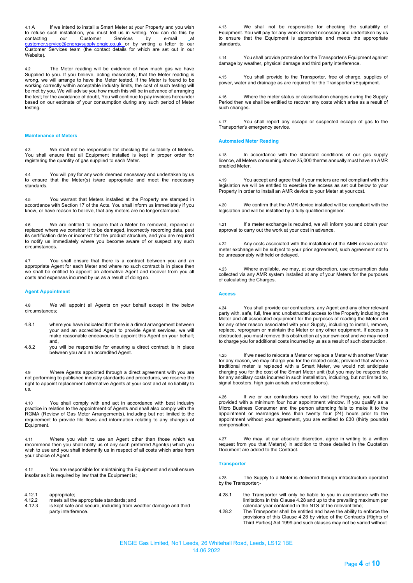4.1 A If we intend to install a Smart Meter at your Property and you wish to refuse such installation, you must tell us in writing. You can do this by contacting our Customer Services by e-mail at contacting our Customer Services by e-mail at <u>[customer.service@energysupply.engie.co.uk](mailto:customer.service@energysupply.engie.co.uk)\_</u>or by writing a letter to our Customer Services team (the contact details for which are set out in our Website).

4.2 The Meter reading will be evidence of how much gas we have Supplied to you. If you believe, acting reasonably, that the Meter reading is wrong, we will arrange to have the Meter tested. If the Meter is found to be working correctly within acceptable industry limits, the cost of such testing will be met by you. We will advise you how much this will be in advance of arranging the test; for the avoidance of doubt, You will continue to pay invoices hereunder based on our estimate of your consumption during any such period of Meter testing.

#### **Maintenance of Meters**

4.3 We shall not be responsible for checking the suitability of Meters. You shall ensure that all Equipment installed is kept in proper order for registering the quantity of gas supplied to each Meter.

4.4 You will pay for any work deemed necessary and undertaken by us to ensure that the Meter(s) is/are appropriate and meet the necessary standards.

4.5 You warrant that Meters installed at the Property are stamped in accordance with Section 17 of the Acts. You shall inform us immediately if you know, or have reason to believe, that any meters are no longer stamped.

4.6 We are entitled to require that a Meter be removed, repaired or replaced where we consider it to be damaged, incorrectly recording data, past its certification date or incorrect for the product structure, and you are required to notify us immediately where you become aware of or suspect any such circumstances.

4.7 You shall ensure that there is a contract between you and an appropriate Agent for each Meter and where no such contract is in place then we shall be entitled to appoint an alternative Agent and recover from you all costs and expenses incurred by us as a result of doing so.

# **Agent Appointment**

4.8 We will appoint all Agents on your behalf except in the below circumstances;

- 4.8.1 where you have indicated that there is a direct arrangement between your and an accredited Agent to provide Agent services, we will make reasonable endeavours to appoint this Agent on your behalf; and,
- 4.8.2 you will be responsible for ensuring a direct contract is in place between you and an accredited Agent.

4.9 Where Agents appointed through a direct agreement with you are not performing to published industry standards and procedures, we reserve the right to appoint replacement alternative Agents at your cost and at no liability to us.

4.10 You shall comply with and act in accordance with best industry practice in relation to the appointment of Agents and shall also comply with the RGMA (Review of Gas Meter Arrangements), including but not limited to the requirement to provide file flows and information relating to any changes of Equipment.

4.11 Where you wish to use an Agent other than those which we recommend then you shall notify us of any such preferred Agent(s) which you wish to use and you shall indemnify us in respect of all costs which arise from your choice of Agent.

4.12 You are responsible for maintaining the Equipment and shall ensure insofar as it is required by law that the Equipment is;

- 4.12.1 appropriate;<br>4.12.2 meets all the
- 4.12.2 meets all the appropriate standards; and 4.12.3 is kept safe and secure, including from w
- is kept safe and secure, including from weather damage and third party interference.

4.13 We shall not be responsible for checking the suitability of Equipment. You will pay for any work deemed necessary and undertaken by us to ensure that the Equipment is appropriate and meets the appropriate standards.

4.14 You shall provide protection for the Transporter's Equipment against damage by weather, physical damage and third party interference.

4.15 You shall provide to the Transporter, free of charge, supplies of power, water and drainage as are required for the Transporter'sEquipment.

4.16 Where the meter status or classification changes during the Supply Period then we shall be entitled to recover any costs which arise as a result of such changes.

4.17 You shall report any escape or suspected escape of gas to the Transporter's emergency service.

### **Automated Meter Reading**

4.18 In accordance with the standard conditions of our gas supply licence, all Meters consuming above 25,000 therms annually must have an AMR enabled Meter.

4.19 You accept and agree that if your meters are not compliant with this legislation we will be entitled to exercise the access as set out below to your Property in order to install an AMR device to your Meter at your cost.

4.20 We confirm that the AMR device installed will be compliant with the legislation and will be installed by a fully qualified engineer.

4.21 If a meter exchange is required, we will inform you and obtain your approval to carry out the work at your cost in advance.

4.22 Any costs associated with the installation of the AMR device and/or meter exchange will be subject to your prior agreement, such agreement not to be unreasonably withheld or delayed.

4.23 Where available, we may, at our discretion, use consumption data collected via any AMR system installed at any of your Meters for the purposes of calculating the Charges.

#### **Access**

4.24 You shall provide our contractors, any Agent and any other relevant party with, safe, full, free and unobstructed access to the Property including the Meter and all associated equipment for the purposes of reading the Meter and for any other reason associated with your Supply, including to install, remove, replace, reprogram or maintain the Meter or any other equipment. If access is obstructed, you must remove this obstruction at your own cost and we may need to charge you for additional costs incurred by us as a result of such obstruction.

4.25 If we need to relocate a Meter or replace a Meter with another Meter for any reason, we may charge you for the related costs; provided that where a traditional meter is replaced with a Smart Meter, we would not anticipate charging you for the cost of the Smart Meter unit (but you may be responsible for any ancillary costs incurred in such installation, including, but not limited to, signal boosters, high gain aerials and connections).

4.26 If we or our contractors need to visit the Property, you will be provided with a minimum four hour appointment window. If you qualify as a Micro Business Consumer and the person attending fails to make it to the appointment or rearranges less than twenty four (24) hours prior to the appointment without your agreement, you are entitled to £30 (thirty pounds) compensation.

4.27 We may, at our absolute discretion, agree in writing to a written request from you that Meter(s) in addition to those detailed in the Quotation Document are added to the Contract.

#### **Transporter**

4.28 The Supply to a Meter is delivered through infrastructure operated by the Transporter;-

- 4.28.1 the Transporter will only be liable to you in accordance with the limitations in this Clause 4.28 and up to the prevailing maximum per calendar year contained in the NTS at the relevant time;
- 4.28.2 The Transporter shall be entitled and have the ability to enforce the provisions of this Clause 4.28 by virtue of the Contracts (Rights of Third Parties) Act 1999 and such clauses may not be varied without

ENGIE Gas Limited, No1 Leeds, 26 Whitehall Road, Leeds, LS12 1BE 14.06.2022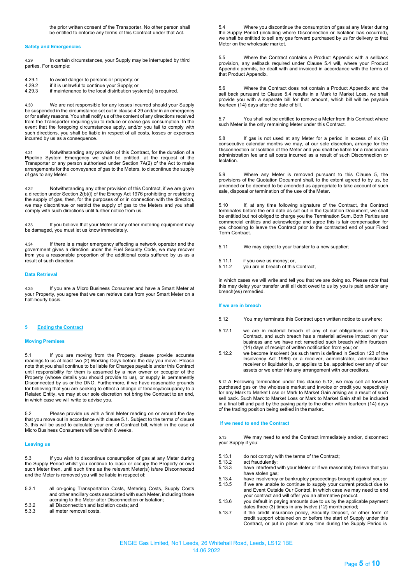#### **Safety and Emergencies**

4.29 In certain circumstances, your Supply may be interrupted by third parties. For example:

- 4.29.1 to avoid danger to persons or property; or<br>4.29.2 if it is unlawful to continue your Supply; or
- 4.29.2 if it is unlawful to continue your Supply; or<br>4.29.3 if maintenance to the local distribution sys if maintenance to the local distribution system(s) is required.

4.30 We are not responsible for any losses incurred should your Supply be suspended in the circumstance set out in clause 4.29 and/or in an emergency or for safety reasons. You shall notify us of the content of any directions received from the Transporter requiring you to reduce or cease gas consumption. In the event that the foregoing circumstances apply, and/or you fail to comply with such directions, you shall be liable in respect of all costs, losses or expenses incurred by us as a consequence.

4.31 Notwithstanding any provision of this Contract, for the duration of a Pipeline System Emergency we shall be entitled, at the request of the Transporter or any person authorised under Section 7A(2) of the Act to make arrangements for the conveyance of gas to the Meters, to discontinue the supply of gas to any Meter.

4.32 Notwithstanding any other provision of this Contract, if we are given a direction under Section 2(b)(i) of the Energy Act 1976 prohibiting or restricting the supply of gas, then, for the purposes of or in connection with the direction, we may discontinue or restrict the supply of gas to the Meters and you shall comply with such directions until further notice from us.

4.33 If you believe that your Meter or any other metering equipment may be damaged, you must let us know immediately.

4.34 If there is a major emergency affecting a network operator and the government gives a direction under the Fuel Security Code, we may recover from you a reasonable proportion of the additional costs suffered by us as a result of such direction.

## **Data Retrieval**

4.35 If you are a Micro Business Consumer and have a Smart Meter at your Property, you agree that we can retrieve data from your Smart Meter on a half-hourly basis.

### **5 Ending the Contract**

#### **Moving Premises**

5.1 If you are moving from the Property, please provide accurate readings to us at least two (2) Working Days before the day you move. Please note that you shall continue to be liable for Charges payable under this Contract until responsibility for them is assumed by a new owner or occupier of the Property (whose details you should provide to us), or supply is permanently Disconnected by us or the DNO. Furthermore, if we have reasonable grounds for believing that you are seeking to effect a change of tenancy/occupancy to a Related Entity, we may at our sole discretion not bring the Contract to an end, in which case we will write to advise you.

5.2 Please provide us with a final Meter reading on or around the day that you move out in accordance with clause 5.1. Subject to the terms of clause 3, this will be used to calculate your end of Contract bill, which in the case of Micro Business Consumers will be within 6 weeks.

#### **Leaving us**

5.3 If you wish to discontinue consumption of gas at any Meter during the Supply Period whilst you continue to lease or occupy the Property or own such Meter then, until such time as the relevant Meter(s) is/are Disconnected and the Meter is removed you will be liable in respect of:

| 5.3.1 | all on-going Transportation Costs, Metering Costs, Supply Costs       |
|-------|-----------------------------------------------------------------------|
|       | and other ancillary costs associated with such Meter, including those |
|       | accruing to the Meter after Disconnection or Isolation:               |

- accruing to the Meter after Disconnection or Isolation; 5.3.2 all Disconnection and Isolation costs; and
- 5.3.3 all meter removal costs.

5.4 Where you discontinue the consumption of gas at any Meter during the Supply Period (including where Disconnection or Isolation has occurred), we shall be entitled to sell any gas forward purchased by us for delivery to that Meter on the wholesale market.

5.5 Where the Contract contains a Product Appendix with a sellback provision, any sellback required under Clause 5.4 will, where your Product Appendix permits, be dealt with and invoiced in accordance with the terms of that Product Appendix.

5.6 Where the Contract does not contain a Product Appendix and the sell back pursuant to Clause 5.4 results in a Mark to Market Loss, we shall provide you with a separate bill for that amount, which bill will be payable fourteen (14) days after the date of bill.

5.7 You shall not be entitled to remove a Meter from this Contract where such Meter is the only remaining Meter under this Contract.

5.8 If gas is not used at any Meter for a period in excess of six (6) consecutive calendar months we may, at our sole discretion, arrange for the Disconnection or Isolation of the Meter and you shall be liable for a reasonable administration fee and all costs incurred as a result of such Disconnection or Isolation.

5.9 Where any Meter is removed pursuant to this Clause 5, the provisions of the Quotation Document shall, to the extent agreed to by us, be amended or be deemed to be amended as appropriate to take account of such sale, disposal or termination of the use of the Meter.

5.10 If, at any time following signature of the Contract, the Contract terminates before the end date as set out in the Quotation Document, we shall be entitled but not obliged to charge you the Termination Sum. Both Parties are commercial entities and acknowledge and agree this is fair compensation for you choosing to leave the Contract prior to the contracted end of your Fixed Term Contract.

5.11 We may object to your transfer to a new supplier;

- 5.11.1 if you owe us money; or,<br>5.11.2 you are in breach of this
- you are in breach of this Contract,

in which cases we will write and tell you that we are doing so. Please note that this may delay your transfer until all debt owed to us by you is paid and/or any breach(es) remedied.

#### **If we are in breach**

- 5.12 You may terminate this Contract upon written notice to uswhere:
- 5.12.1 we are in material breach of any of our obligations under this Contract, and such breach has a material adverse impact on your business and we have not remedied such breach within fourteen (14) days of receipt of written notification from you; or
- 5.12.2 we become Insolvent (as such term is defined in Section 123 of the Insolvency Act 1986) or a receiver, administrator, administrative receiver or liquidator is, or applies to be, appointed over any of our assets or we enter into any arrangement with our creditors.

5.12 A Following termination under this clause 5.12, we may sell all forward purchased gas on the wholesale market and invoice or credit you respectively for any Mark to Market Loss or Mark to Market Gain arising as a result of such sell back. Such Mark to Market Loss or Mark to Market Gain shall be included in a final bill and paid by the paying party to the other within fourteen (14) days of the trading position being settled in the market.

### I**f we need to end the Contract**

5.13 We may need to end the Contract immediately and/or, disconnect your Supply if you:

- 5.13.1 do not comply with the terms of the Contract;<br>5.13.2 act fraudulently:
- 5.13.2 act fraudulently;<br>5.13.3 have interfered
- have interfered with your Meter or if we reasonably believe that you have stolen gas;
- 5.13.4 have insolvency or bankruptcy proceedings brought against you; or
- 5.13.5 if we are unable to continue to supply your current product due to and Event Outside Our Control, in which case we may need to end your contract and will offer you an alternative product.
- 5.13.6 you default in paying amounts due to us by the applicable payment dates three (3) times in any twelve (12) month period;
- 5.13.7 if the credit insurance policy, Security Deposit, or other form of credit support obtained on or before the start of Supply under this Contract, or put in place at any time during the Supply Period is

ENGIE Gas Limited, No1 Leeds, 26 Whitehall Road, Leeds, LS12 1BE 14.06.2022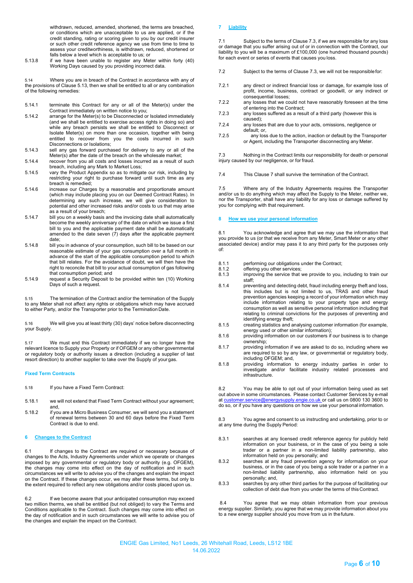withdrawn, reduced, amended, shortened, the terms are breached, or conditions which are unacceptable to us are applied, or if the credit standing, rating or scoring given to you by our credit insurer or such other credit reference agency we use from time to time to assess your creditworthiness, is withdrawn, reduced, shortened or falls below a level which is acceptable to us; or

5.13.8 if we have been unable to register any Meter within forty (40) Working Days caused by you providing incorrect data.

5.14 Where you are in breach of the Contract in accordance with any of the provisions of Clause 5.13, then we shall be entitled to all or any combination of the following remedies:

- 5.14.1 terminate this Contract for any or all of the Meter(s) under the Contract immediately on written notice to you;
- 5.14.2 arrange for the Meter(s) to be Disconnected or Isolated immediately (and we shall be entitled to exercise access rights in doing so) and while any breach persists we shall be entitled to Disconnect or Isolate Meter(s) on more than one occasion, together with being entitled to recover from you the costs incurred in such Disconnections or Isolations;
- 5.14.3 sell any gas forward purchased for delivery to any or all of the Meter(s) after the date of the breach on the wholesale market;
- 5.14.4 recover from you all costs and losses incurred as a result of such breach, including any Mark to Market Loss;
- 5.14.5 vary the Product Appendix so as to mitigate our risk, including by restricting your right to purchase forward until such time as any breach is remedied;
- 5.14.6 increase our Charges by a reasonable and proportionate amount (which may include placing you on our Deemed Contract Rates). In determining any such increase, we will give consideration to potential and other increased risks and/or costs to us that may arise as a result of your breach;
- 5.14.7 bill you on a weekly basis and the invoicing date shall automatically become the weekly anniversary of the date on which we issue a first bill to you and the applicable payment date shall be automatically amended to the date seven (7) days after the applicable payment date;
- 5.14.8 bill you in advance of your consumption, such bill to be based on our reasonable estimate of your gas consumption over a full month in advance of the start of the applicable consumption period to which that bill relates. For the avoidance of doubt, we will then have the right to reconcile that bill to your actual consumption of gas following that consumption period; and
- 5.14.9 request a Security Deposit to be provided within ten (10) Working Days of such a request.

5.15 The termination of the Contract and/or the termination of the Supply to any Meter shall not affect any rights or obligations which may have accrued to either Party, and/or the Transporter prior to the Termination Date.

5.16 We will give you at least thirty (30) days' notice before disconnecting your Supply.

5.17 We must end this Contract immediately if we no longer have the relevant licence to Supply your Property or if OFGEM or any other governmental or regulatory body or authority issues a direction (including a supplier of last resort direction) to another supplier to take over the Supply of your gas.

# **Fixed Term Contracts**

- 5.18 If you have a Fixed Term Contract:
- 5.18.1 we will not extend that Fixed Term Contract without your agreement; and,
- 5.18.2 if you are a Micro Business Consumer, we will send you a statement of renewal terms between 30 and 60 days before the Fixed Term Contract is due to end.

# **6 Changes to the Contract**

6.1 If changes to the Contract are required or necessary because of changes to the Acts, Industry Agreements under which we operate or changes imposed by any governmental or regulatory body or authority (e.g. OFGEM), the changes may come into effect on the day of notification and in such circumstances we will write to advise you of the changes and explain the impact on the Contract. If these changes occur, we may alter these terms, but only to the extent required to reflect any new obligations and/or costs placed upon us.

6.2 If we become aware that your anticipated consumption may exceed two million therms, we shall be entitled (but not obliged) to vary the Terms and Conditions applicable to the Contract. Such changes may come into effect on the day of notification and in such circumstances we will write to advise you of the changes and explain the impact on the Contract.

# **7 Liability**

7.1 Subject to the terms of Clause 7.3, if we are responsible for any loss or damage that you suffer arising out of or in connection with the Contract, our liability to you will be a maximum of £100,000 (one hundred thousand pounds) for each event or series of events that causes you loss.

- 7.2 Subject to the terms of Clause 7.3, we will not be responsiblefor:
- 7.2.1 any direct or indirect financial loss or damage, for example loss of profit, income, business, contract or goodwill, or any indirect or consequential losses;
- 7.2.2 any losses that we could not have reasonably foreseen at the time of entering into the Contract;
- 7.2.3 any losses suffered as a result of a third party (however this is caused);
- 7.2.4 any losses that are due to your acts, omissions, negligence or default; or,
- 7.2.5 any loss due to the action, inaction or default by the Transporter or Agent, including the Transporter disconnecting any Meter.

7.3 Nothing in the Contract limits our responsibility for death or personal injury caused by our negligence, or for fraud.

7.4 This Clause 7 shall survive the termination of the Contract.

7.5 Where any of the Industry Agreements requires the Transporter and/or us to do anything which may affect the Supply to the Meter, neither we, nor the Transporter, shall have any liability for any loss or damage suffered by you for complying with that requirement.

#### **8 How we use your personal information**

8.1 You acknowledge and agree that we may use the information that you provide to us (or that we receive from any Meter, Smart Meter or any other associated device) and/or may pass it to any third party for the purposes only of:

- 8.1.1 performing our obligations under the Contract;
- 8.1.2 offering you other services;
- 8.1.3 improving the service that we provide to you, including to train our staff;
- 8.1.4 preventing and detecting debt, fraud including energy theft and loss, this includes but is not limited to us, TRAS and other fraud prevention agencies keeping a record of your information which may include information relating to your property type and energy consumption as well as sensitive personal information including that relating to criminal convictions for the purposes of preventing and identifying energy theft;
- 8.1.5 creating statistics and analysing customer information (for example, energy used or other similar information);
- 8.1.6 providing information on our customers if our business is to change ownership;
- 8.1.7 providing information if we are asked to do so, including where we are required to so by any law, or governmental or regulatory body, including OFGEM; and,
- 8.1.8 providing information to energy industry parties in order to investigate and/or facilitate industry related processes and infrastructure.

8.2 You may be able to opt out of your information being used as set out above in some circumstances. Please contact Customer Services by e-mail<br>at customer service@energysupply.engie.co.uk or call us on 0800 130 3600 to rgysupply.engie.co.uk or call us on 0800 130 3600 to do so, or if you have any questions on how we use your personal information.

8.3 You agree and consent to us instructing and undertaking, prior to or at any time during the Supply Period:

- 8.3.1 searches at any licensed credit reference agency for publicly held information on your business, or in the case of you being a sole trader or a partner in a non-limited liability partnership, also information held on you personally; and
- 8.3.2 searches at any fraud prevention agency for information on your business, or in the case of you being a sole trader or a partner in a non-limited liability partnership, also information held on you personally; and,
- 8.3.3 searches by any other third parties for the purpose of facilitating our collection of debt due from you under the terms of this Contract.

8.4 You agree that we may obtain information from your previous energy supplier. Similarly, you agree that we may provide information about you to a new energy supplier should you move from us in the future.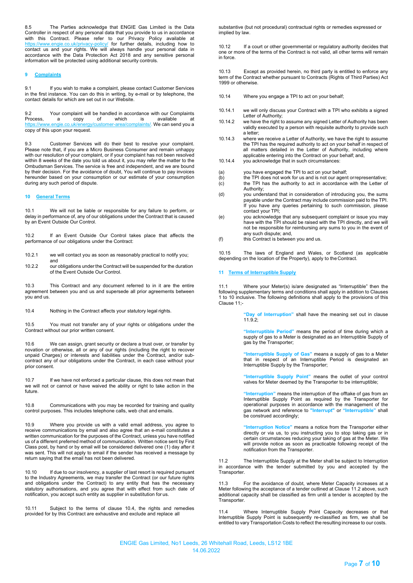8.5 The Parties acknowledge that ENGIE Gas Limited is the Data Controller in respect of any personal data that you provide to us in accordance with this Contract. Please refer to our Privacy Policy available at <https://www.engie.co.uk/privacy-policy/> for further details, including how to contact us and your rights. We will always handle your personal data in accordance with the Data Protection Act 2018 and any sensitive personal information will be protected using additional security controls.

### **9 Complaints**

9.1 If you wish to make a complaint, please contact Customer Services in the first instance. You can do this in writing, by e-mail or by telephone, the contact details for which are set out in our Website.

9.2 Your complaint will be handled in accordance with our Complaints<br>Process, a copy of which is available at Process, a copy of which is available at https:/[/www.engie.co.uk/energy/customer-area/complaints/. W](http://www.engie.co.uk/energy/customer-area/complaints/)e can send you a copy of this upon your request.

9.3 Customer Services will do their best to resolve your complaint. Please note that, if you are a Micro Business Consumer and remain unhappy with our resolution of your complaint, or if your complaint has not been resolved within 8 weeks of the date you told us about it, you may refer the matter to the Ombudsman Services. The service is free and independent, and we are bound by their decision. For the avoidance of doubt, You will continue to pay invoices hereunder based on your consumption or our estimate of your consumption during any such period of dispute.

# **10 General Terms**

and

10.1 We will not be liable or responsible for any failure to perform, or delay in performance of, any of our obligations under the Contract that is caused by an Event Outside Our Control.

10.2 If an Event Outside Our Control takes place that affects the performance of our obligations under the Contract:

10.2.1 we will contact you as soon as reasonably practical to notify you;

10.2.2 our obligations under the Contract will be suspended for the duration of the Event Outside Our Control.

10.3 This Contract and any document referred to in it are the entire agreement between you and us and supersede all prior agreements between you and us.

10.4 Nothing in the Contract affects your statutory legal rights.

10.5 You must not transfer any of your rights or obligations under the Contract without our prior written consent.

10.6 We can assign, grant security or declare a trust over, or transfer by novation or otherwise, all or any of our rights (including the right to recover unpaid Charges) or interests and liabilities under the Contract, and/or subcontract any of our obligations under the Contract, in each case without your prior consent.

10.7 If we have not enforced a particular clause, this does not mean that we will not or cannot or have waived the ability or right to take action in the future.

10.8 Communications with you may be recorded for training and quality control purposes. This includes telephone calls, web chat and emails.

10.9 Where you provide us with a valid email address, you agree to receive communications by email and also agree that an e-mail constitutes a written communication for the purposes of the Contract, unless you have notified us of a different preferred method of communication. Written notice sent by First Class post, by hand or by email will be considered delivered one (1) day after it was sent. This will not apply to email if the sender has received a message by return saying that the email has not been delivered.

10.10 If due to our insolvency, a supplier of last resort is required pursuant to the Industry Agreements, we may transfer the Contract (or our future rights and obligations under the Contract) to any entity that has the necessary statutory authorisations, and you agree that with effect from such date of notification, you accept such entity as supplier in substitution for us.

10.11 Subject to the terms of clause 10.4, the rights and remedies provided for by this Contract are exhaustive and exclude and replace all

substantive (but not procedural) contractual rights or remedies expressed or implied by law.

10.12 If a court or other governmental or regulatory authority decides that one or more of the terms of the Contract is not valid, all other terms will remain in force.

10.13 Except as provided herein, no third party is entitled to enforce any term of the Contract whether pursuant to Contracts (Rights of Third Parties) Act 1999 or otherwise.

- 10.14 Where you engage a TPI to act on your behalf;
- 10.14.1 we will only discuss your Contract with a TPI who exhibits a signed Letter of Authority;
- 10.14.2 we have the right to assume any signed Letter of Authority has been validly executed by a person with requisite authority to provide such a letter;
- 10.14.3 where we receive a Letter of Authority, we have the right to assume the TPI has the required authority to act on your behalf in respect of all matters detailed in the Letter of Authority, including where applicable entering into the Contract on your behalf; and,
- 10.14.4 you acknowledge that in such circumstances:
- (a) you have engaged the TPI to act on your behalf;<br>(b) the TPI does not work for us and is not our agent
- (b) the TPI does not work for us and is not our agent orrepresentative; (c) the TPI has the authority to act in accordance with the Letter of Authority;
- (d) you understand that in consideration of introducing you, the sums payable under the Contract may include commission paid to the TPI. If you have any queries pertaining to such commission, please contact your TPI;
- (e) you acknowledge that any subsequent complaint or issue you may have with the TPI should be raised with the TPI directly, and we will not be responsible for reimbursing any sums to you in the event of any such dispute; and,
- (f) this Contract is between you and us.

10.15 The laws of England and Wales, or Scotland (as applicable depending on the location of the Property), apply to the Contract.

# **11 Terms of Interruptible Supply**

11.1 Where your Meter(s) is/are designated as "Interruptible" then the following supplementary terms and conditions shall apply in addition to Clauses 1 to 10 inclusive. The following definitions shall apply to the provisions of this Clause 11;-

> **"Day of Interruption"** shall have the meaning set out in clause 11.9.2;

> **"Interruptible Period"** means the period of time during which a supply of gas to a Meter is designated as an Interruptible Supply of gas by the Transporter;

> **"Interruptible Supply of Gas"** means a supply of gas to a Meter that in respect of an Interruptible Period is designated an Interruptible Supply by the Transporter;

> **"Interruptible Supply Point"** means the outlet of your control valves for Meter deemed by the Transporter to be interruptible;

> **"Interruption"** means the interruption of the offtake of gas from an Interruptible Supply Point as required by the Transporter for operational purposes in accordance with the management of the gas network and reference to **"Interrupt"** or **"Interruptible"** shall be construed accordingly;

> **"Interruption Notice"** means a notice from the Transporter either directly or via us, to you instructing you to stop taking gas or in certain circumstances reducing your taking of gas at the Meter. We will provide notice as soon as practicable following receipt of the notification from the Transporter.

11.2 The Interruptible Supply at the Meter shall be subject to Interruption in accordance with the tender submitted by you and accepted by the Transporter.

For the avoidance of doubt, where Meter Capacity increases at a Meter following the acceptance of a tender outlined at Clause 11.2 above, such additional capacity shall be classified as firm until a tender is accepted by the Transporter.

11.4 Where Interruptible Supply Point Capacity decreases or that Interruptible Supply Point is subsequently re-classified as firm, we shall be entitled to vary Transportation Costs to reflect the resulting increase to our costs.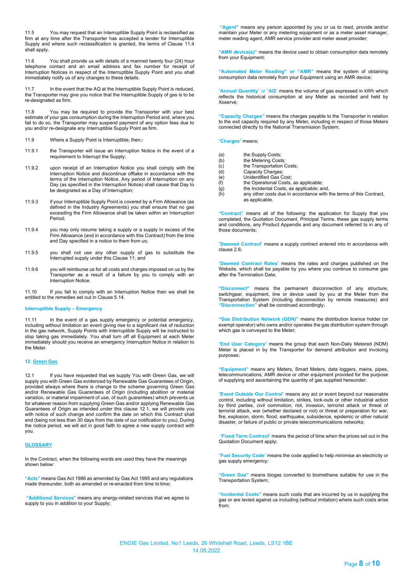11.5 You may request that an Interruptible Supply Point is reclassified as firm at any time after the Transporter has accepted a tender for Interruptible Supply and where such reclassification is granted, the terms of Clause 11.4 shall apply.

11.6 You shall provide us with details of a manned twenty four (24) hour telephone contact and an email address and fax number for receipt of Interruption Notices in respect of the Interruptible Supply Point and you shall immediately notify us of any changes to these details.

11.7 In the event that the AQ at the Interruptible Supply Point is reduced, the Transporter may give you notice that the Interruptible Supply of gas is to be re-designated as firm.

11.8 You may be required to provide the Transporter with your best estimate of your gas consumption during the Interruption Period and, where you fail to do so, the Transporter may suspend payment of any option fees due to you and/or re-designate any Interruptible Supply Point as firm.

- 11.9 Where a Supply Point is Interruptible, then;-
- 11.9.1 the Transporter will issue an Interruption Notice in the event of a requirement to Interrupt the Supply;
- 11.9.2 upon receipt of an Interruption Notice you shall comply with the Interruption Notice and discontinue offtake in accordance with the terms of the Interruption Notice. Any period of Interruption on any Day (as specified in the Interruption Notice) shall cause that Day to be designated as a Day of Interruption;
- 11.9.3 if your Interruptible Supply Point is covered by a Firm Allowance (as defined in the Industry Agreements) you shall ensure that no gas exceeding the Firm Allowance shall be taken within an Interruption Period;
- 11.9.4 you may only resume taking a supply or a supply in excess of the Firm Allowance (and in accordance with this Contract) from the time and Day specified in a notice to them from us;
- 11.9.5 you shall not use any other supply of gas to substitute the Interrupted supply under this Clause 11; and
- 11.9.6 you will reimburse us for all costs and charges imposed on us by the Transporter as a result of a failure by you to comply with an Interruption Notice.

11.10 If you fail to comply with an Interruption Notice then we shall be entitled to the remedies set out in Clause 5.14.

#### **Interruptible Supply – Emergency**

11.11 In the event of a gas supply emergency or potential emergency, including without limitation an event giving rise to a significant risk of reduction in the gas network, Supply Points with Interruptible Supply will be instructed to stop taking gas immediately. You shall turn off all Equipment at each Meter immediately should you receive an emergency Interruption Notice in relation to the Meter.

# **12. Green Gas**

12.1 If you have requested that we supply You with Green Gas, we will supply you with Green Gas evidenced by Renewable Gas Guarantees of Origin, provided always where there is change to the scheme governing Green Gas and/or Renewable Gas Guarantees of Origin (including abolition or material variation, or material impairment of use, of such guarantees) which prevents us for whatever reason from supplying Green Gas and/or applying Renewable Gas Guarantees of Origin as intended under this clause 12.1, we will provide you with notice of such change and confirm the date on which this Contract shall end (being not less than 30 days from the date of our notification to you). During the notice period, we will act in good faith to agree a new supply contract with you.

# **GLOSSARY**

In the Contract, when the following words are used they have the meanings shown below:

**"Acts"** means Gas Act 1986 as amended by Gas Act 1995 and any regulations made thereunder, both as amended or re-enacted from time to time;

**"Additional Services"** means any energy-related services that we agree to supply to you in addition to your Supply;

**"Agent"** means any person appointed by you or us to read, provide and/or maintain your Meter or any metering equipment or as a meter asset manager, meter reading agent, AMR service provider and meter asset provider;

**"AMR device(s)"** means the device used to obtain consumption data remotely from your Equipment;

**"Automated Meter Reading" or "AMR"** means the system of obtaining consumption data remotely from your Equipment using an AMR device;

"**Annual Quantity**" or "**AQ**" means the volume of gas expressed in kWh which reflects the historical consumption at any Meter as recorded and held by Xoserve;

**"Capacity Charges"** means the charges payable to the Transporter in relation to the exit capacity required by any Meter, including in respect of those Meters connected directly to the National Transmission System;

"**Charges**" means;

- (a) the Supply Costs;<br>(b) the Metering Cost
- (b) the Metering Costs;<br>(c) the Transportation (
- (c) the Transportation Costs;<br>(d) Capacity Charges:
- (d) Capacity Charges;<br>(e) Unidentified Gas C Unidentified Gas Cost;
- 
- $(f)$  the Operational Costs, as applicable;<br>(g) the Incidental Costs, as applicable; are
- $\begin{array}{lll} \text{(g)} & \text{the \textbf{Incidental} \textbf{ Costs}, \textbf{as \textbf{ applicable}; and}, \\ \text{(h)} & \text{any \textbf{other costs due in accordance with}} \end{array}$ any other costs due in accordance with the terms of this Contract, as applicable.

**"Contract"** means all of the following: the application for Supply that you completed, the Quotation Document, Principal Terms, these gas supply terms and conditions, any Product Appendix and any document referred to in any of those documents;

"**Deemed Contract**" means a supply contract entered into in accordance with clause 2.6;

"**Deemed Contract Rates**" means the rates and charges published on the Website, which shall be payable by you where you continue to consume gas after the Termination Date;

**"Disconnect"** means the permanent disconnection of any structure, switchgear, equipment, line or device used by you at the Meter from the Transportation System (including disconnection by remote measures) and **"Disconnection"** shall be construed accordingly;

**"Gas Distribution Network (GDN)"** means the distribution licence holder (or exempt operator) who owns and/or operates the gas distribution system through which gas is conveyed to the Meter;

"**End User Category**" means the group that each Non-Daily Metered (NDM) Meter is placed in by the Transporter for demand attribution and invoicing purposes;

**"Equipment"** means any Meters, Smart Meters, data loggers, mains, pipes, telecommunications, AMR device or other equipment provided for the purpose of supplying and ascertaining the quantity of gas supplied hereunder;

"**Event Outside Our Control**" means any act or event beyond our reasonable control, including without limitation, strikes, lock-outs or other industrial action by third parties, civil commotion, riot, invasion, terrorist attack or threat of terrorist attack, war (whether declared or not) or threat or preparation for war, fire, explosion, storm, flood, earthquake, subsidence, epidemic or other natural disaster, or failure of public or private telecommunications networks;

"**Fixed Term Contract**" means the period of time when the prices set out in the Quotation Document apply;

"**Fuel Security Code**" means the code applied to help minimise an electricity or gas supply emergency;

**"Green Gas"** means biogas converted to biomethane suitable for use in the Transportation System;

**"Incidental Costs"** means such costs that are incurred by us in supplying the gas or are levied against us including (without imitation) where such costs arise from;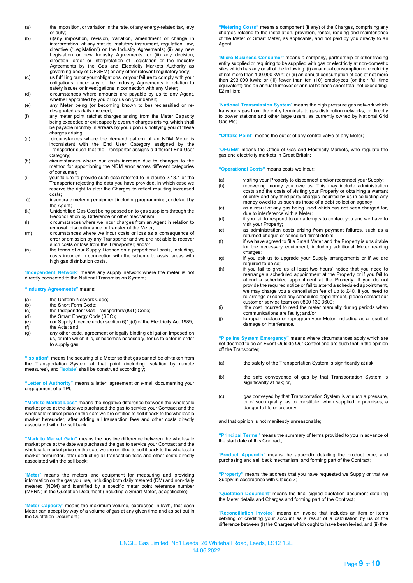- (a) the imposition, or variation in the rate, of any energy-related tax, levy or duty;
- (b) (i)any imposition, revision, variation, amendment or change in interpretation, of any statute, statutory instrument, regulation, law, directive ("Legislation") or the Industry Agreements; (ii) any new Legislation or new Industry Agreements; or (iii) any decision, direction, order or interpretation of Legislation or the Industry Agreements by the Gas and Electricity Markets Authority as governing body of OFGEM) or any other relevant regulatorybody;
- (c) us fulfilling our or your obligations, or your failure to comply with your obligations, under any of the Industry Agreements in relation to safety issues or investigations in connection with any Meter;
- (d) circumstances where amounts are payable by us to any Agent, whether appointed by you or by us on your behalf;
- (e) any Meter being (or becoming known to be) reclassified or redesignated as daily metered;
- (f) any meter point ratchet charges arising from the Meter Capacity being exceeded or exit capacity overrun charges arising, which shall be payable monthly in arrears by you upon us notifying you of these charges arising;
- (g) circumstances where the demand pattern of an NDM Meter is inconsistent with the End User Category assigned by the Transporter such that the Transporter assigns a different End User Category;
- (h) circumstances where our costs increase due to changes to the method for apportioning the NDM error across different categories of consumer;
- (i) your failure to provide such data referred to in clause 2.13.4 or the Transporter rejecting the data you have provided, in which case we reserve the right to alter the Charges to reflect resulting increased costs;
- (j) inaccurate metering equipment including programming, or default by the Agent;
- (k) Unidentified Gas Cost being passed on to gas suppliers through the Reconciliation by Difference or other mechanism;
- (l) circumstances where we incur charges from an Agent in relation to removal, discontinuance or transfer of the Meter;
- (m) circumstances where we incur costs or loss as a consequence of error or omission by any Transporter and we are not able to recover such costs or loss from the Transporter; and/or,
- (n) the terms of our Supply Licence on a proportional basis, including, costs incurred in connection with the scheme to assist areas with high gas distribution costs.

"**Independent Network**" means any supply network where the meter is not directly connected to the National Transmission System;

### **"Industry Agreements"** means:

- 
- (a) the Uniform Network Code;<br>(b) the Short Form Code; (b) the Short Form Code;<br>(c) the Independent Gas
- (c) the Independent Gas Transporters'(IGT) Code;<br>(d) the Smart Energy Code (SEC);
- 
- (d) the Smart Energy Code (SEC);<br>(e) our Supply Licence under section our Supply Licence under section 6(1)(d) of the Electricity Act 1989; (f) the Acts; and
- (g) any other code, agreement or legally binding obligation imposed on us, or into which it is, or becomes necessary, for us to enter in order to supply gas;

**"Isolation"** means the securing of a Meter so that gas cannot be off-taken from the Transportation System at that point (including Isolation by remote measures), and "Isolate" shall be construed accordingly;

**"Letter of Authority"** means a letter, agreement or e-mail documenting your engagement of a TPI;

**"Mark to Market Loss"** means the negative difference between the wholesale market price at the date we purchased the gas to service your Contract and the wholesale market price on the date we are entitled to sell it back to the wholesale market hereunder, after adding all transaction fees and other costs directly associated with the sell back;

**"Mark to Market Gain"** means the positive difference between the wholesale market price at the date we purchased the gas to service your Contract and the wholesale market price on the date we are entitled to sell it back to the wholesale market hereunder, after deducting all transaction fees and other costs directly associated with the sell back;

"**Meter**" means the meters and equipment for measuring and providing information on the gas you use, including both daily metered (DM) and non-daily metered (NDM) and identified by a specific meter point reference number (MPRN) in the Quotation Document (including a Smart Meter, asapplicable);

"**Meter Capacity**" means the maximum volume, expressed in kWh, that each Meter can accept by way of a volume of gas at any given time and as set out in the Quotation Document;

**"Metering Costs"** means a component (if any) of the Charges, comprising any charges relating to the installation, provision, rental, reading and maintenance of the Meter or Smart Meter, as applicable, and not paid by you directly to an Agent;

"**Micro Business Consumer**" means a company, partnership or other trading entity supplied or requiring to be supplied with gas or electricity at non-domestic sites which has any or all of the following; (i) an annual consumption of electricity of not more than 100,000 kWh; or (ii) an annual consumption of gas of not more than 293,000 kWh; or (iii) fewer than ten (10) employees (or their full time equivalent) and an annual turnover or annual balance sheet total not exceeding £2 million;

"**National Transmission System**" means the high pressure gas network which transports gas from the entry terminals to gas distribution networks, or directly to power stations and other large users, as currently owned by National Grid Gas Plc;

**"Offtake Point"** means the outlet of any control valve at any Meter;

"**OFGEM**" means the Office of Gas and Electricity Markets, who regulate the gas and electricity markets in Great Britain;

**"Operational Costs"** means costs we incur;

- (a) visiting your Property to disconnect and/or reconnect your Supply;<br>(b) recovering money you owe us. This may include administration
- recovering money you owe us. This may include administration costs and the costs of visiting your Property or obtaining a warrant of entry and any third party charges incurred by us in collecting any money owed to us such as those of a debt collection agency;
- (c) as a result of any gas being used which has not been charged for, due to interference with a Meter;
- (d) if you fail to respond to our attempts to contact you and we have to visit your Property;
- (e) as administration costs arising from payment failures, such as a returned cheque or cancelled direct debits;
- (f) if we have agreed to fit a Smart Meter and the Property is unsuitable for the necessary equipment, including additional Meter reading charges;
- (g) if you ask us to upgrade your Supply arrangements or if we are required to do so;
- (h) if you fail to give us at least two hours' notice that you need to rearrange a scheduled appointment at the Property or if you fail to attend a scheduled appointment at the Property. If you do not provide the required notice or fail to attend a scheduled appointment, .<br>we may charge you a cancellation fee of up to £40. If you need to re-arrange or cancel any scheduled appointment, please contact our customer service team on 0800 130 3600;
- (i) the cost incurred to read the meter manually during periods when communications are faulty; and/or
- (j) to repair, replace or reprogram your Meter, including as a result of damage or interference.

**"Pipeline System Emergency"** means where circumstances apply which are not deemed to be an Event Outside Our Control and are such that in the opinion off the Transporter;

- (a) the safety of the Transportation System is significantly at risk;
- (b) the safe conveyance of gas by that Transportation System is significantly at risk; or,
- (c) gas conveyed by that Transportation System is at such a pressure, or of such quality, as to constitute, when supplied to premises, a danger to life or property,

and that opinion is not manifestly unreasonable;

**"Principal Terms"** means the summary of terms provided to you in advance of the start date of this Contract;

"**Product Appendix**" means the appendix detailing the product type, and purchasing and sell back mechanism, and forming part of the Contract;

**"Property"** means the address that you have requested we Supply or that we Supply in accordance with Clause 2;

"**Quotation Document**" means the final signed quotation document detailing the Meter details and Charges and forming part of the Contract;

"**Reconciliation Invoice**" means an invoice that includes an item or items debiting or crediting your account as a result of a calculation by us of the difference between (I) the Charges which ought to have been levied, and (ii) the